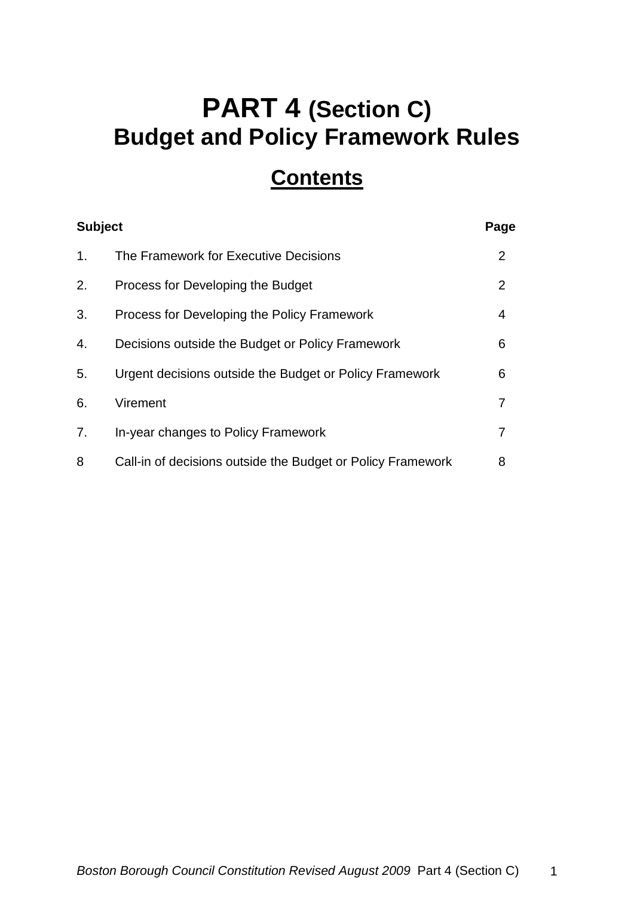# **PART 4 (Section C) Budget and Policy Framework Rules**

# **Contents**

| <b>Subject</b> |                                                             | Page           |
|----------------|-------------------------------------------------------------|----------------|
| 1.             | The Framework for Executive Decisions                       | $\overline{2}$ |
| 2.             | Process for Developing the Budget                           | $\overline{2}$ |
| 3.             | Process for Developing the Policy Framework                 | 4              |
| 4.             | Decisions outside the Budget or Policy Framework            | 6              |
| 5.             | Urgent decisions outside the Budget or Policy Framework     | 6              |
| 6.             | Virement                                                    | 7              |
| 7.             | In-year changes to Policy Framework                         | 7              |
| 8              | Call-in of decisions outside the Budget or Policy Framework | 8              |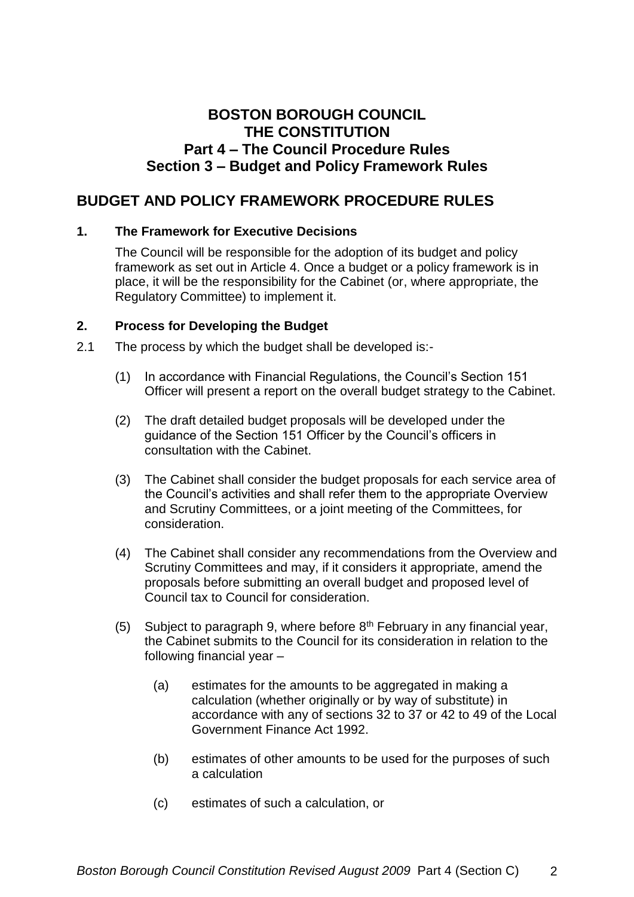## **BOSTON BOROUGH COUNCIL THE CONSTITUTION Part 4 – The Council Procedure Rules Section 3 – Budget and Policy Framework Rules**

## **BUDGET AND POLICY FRAMEWORK PROCEDURE RULES**

#### **1. The Framework for Executive Decisions**

The Council will be responsible for the adoption of its budget and policy framework as set out in Article 4. Once a budget or a policy framework is in place, it will be the responsibility for the Cabinet (or, where appropriate, the Regulatory Committee) to implement it.

#### **2. Process for Developing the Budget**

- 2.1 The process by which the budget shall be developed is:-
	- (1) In accordance with Financial Regulations, the Council's Section 151 Officer will present a report on the overall budget strategy to the Cabinet.
	- (2) The draft detailed budget proposals will be developed under the guidance of the Section 151 Officer by the Council's officers in consultation with the Cabinet.
	- (3) The Cabinet shall consider the budget proposals for each service area of the Council's activities and shall refer them to the appropriate Overview and Scrutiny Committees, or a joint meeting of the Committees, for consideration.
	- (4) The Cabinet shall consider any recommendations from the Overview and Scrutiny Committees and may, if it considers it appropriate, amend the proposals before submitting an overall budget and proposed level of Council tax to Council for consideration.
	- (5) Subject to paragraph 9, where before  $8<sup>th</sup>$  February in any financial year, the Cabinet submits to the Council for its consideration in relation to the following financial year –
		- (a) estimates for the amounts to be aggregated in making a calculation (whether originally or by way of substitute) in accordance with any of sections 32 to 37 or 42 to 49 of the Local Government Finance Act 1992.
		- (b) estimates of other amounts to be used for the purposes of such a calculation
		- (c) estimates of such a calculation, or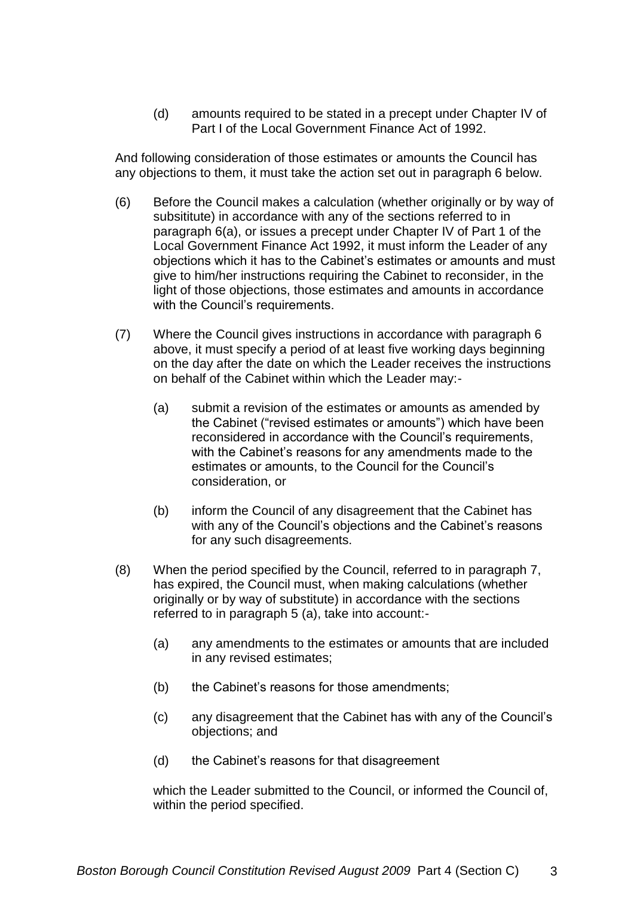(d) amounts required to be stated in a precept under Chapter IV of Part I of the Local Government Finance Act of 1992.

And following consideration of those estimates or amounts the Council has any objections to them, it must take the action set out in paragraph 6 below.

- (6) Before the Council makes a calculation (whether originally or by way of subsititute) in accordance with any of the sections referred to in paragraph 6(a), or issues a precept under Chapter IV of Part 1 of the Local Government Finance Act 1992, it must inform the Leader of any objections which it has to the Cabinet's estimates or amounts and must give to him/her instructions requiring the Cabinet to reconsider, in the light of those objections, those estimates and amounts in accordance with the Council's requirements.
- (7) Where the Council gives instructions in accordance with paragraph 6 above, it must specify a period of at least five working days beginning on the day after the date on which the Leader receives the instructions on behalf of the Cabinet within which the Leader may:-
	- (a) submit a revision of the estimates or amounts as amended by the Cabinet ("revised estimates or amounts") which have been reconsidered in accordance with the Council's requirements, with the Cabinet's reasons for any amendments made to the estimates or amounts, to the Council for the Council's consideration, or
	- (b) inform the Council of any disagreement that the Cabinet has with any of the Council's objections and the Cabinet's reasons for any such disagreements.
- (8) When the period specified by the Council, referred to in paragraph 7, has expired, the Council must, when making calculations (whether originally or by way of substitute) in accordance with the sections referred to in paragraph 5 (a), take into account:-
	- (a) any amendments to the estimates or amounts that are included in any revised estimates;
	- (b) the Cabinet's reasons for those amendments;
	- (c) any disagreement that the Cabinet has with any of the Council's objections; and
	- (d) the Cabinet's reasons for that disagreement

which the Leader submitted to the Council, or informed the Council of, within the period specified.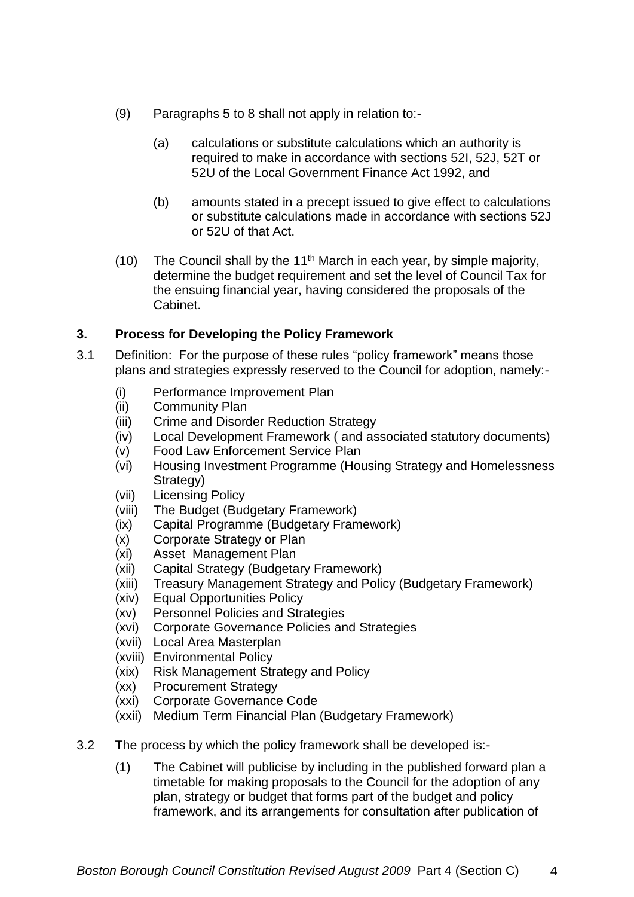- (9) Paragraphs 5 to 8 shall not apply in relation to:-
	- (a) calculations or substitute calculations which an authority is required to make in accordance with sections 52I, 52J, 52T or 52U of the Local Government Finance Act 1992, and
	- (b) amounts stated in a precept issued to give effect to calculations or substitute calculations made in accordance with sections 52J or 52U of that Act.
- (10) The Council shall by the 11<sup>th</sup> March in each year, by simple majority, determine the budget requirement and set the level of Council Tax for the ensuing financial year, having considered the proposals of the Cabinet.

#### **3. Process for Developing the Policy Framework**

- 3.1 Definition: For the purpose of these rules "policy framework" means those plans and strategies expressly reserved to the Council for adoption, namely:-
	- (i) Performance Improvement Plan
	- (ii) Community Plan
	- (iii) Crime and Disorder Reduction Strategy
	- (iv) Local Development Framework ( and associated statutory documents)
	- (v) Food Law Enforcement Service Plan
	- (vi) Housing Investment Programme (Housing Strategy and Homelessness Strategy)
	- (vii) Licensing Policy
	- (viii) The Budget (Budgetary Framework)
	- (ix) Capital Programme (Budgetary Framework)
	- (x) Corporate Strategy or Plan
	- (xi) Asset Management Plan
	- (xii) Capital Strategy (Budgetary Framework)
	- (xiii) Treasury Management Strategy and Policy (Budgetary Framework)
	- (xiv) Equal Opportunities Policy
	- (xv) Personnel Policies and Strategies
	- (xvi) Corporate Governance Policies and Strategies
	- (xvii) Local Area Masterplan
	- (xviii) Environmental Policy
	- (xix) Risk Management Strategy and Policy
	- (xx) Procurement Strategy
	- (xxi) Corporate Governance Code
	- (xxii) Medium Term Financial Plan (Budgetary Framework)
- 3.2 The process by which the policy framework shall be developed is:-
	- (1) The Cabinet will publicise by including in the published forward plan a timetable for making proposals to the Council for the adoption of any plan, strategy or budget that forms part of the budget and policy framework, and its arrangements for consultation after publication of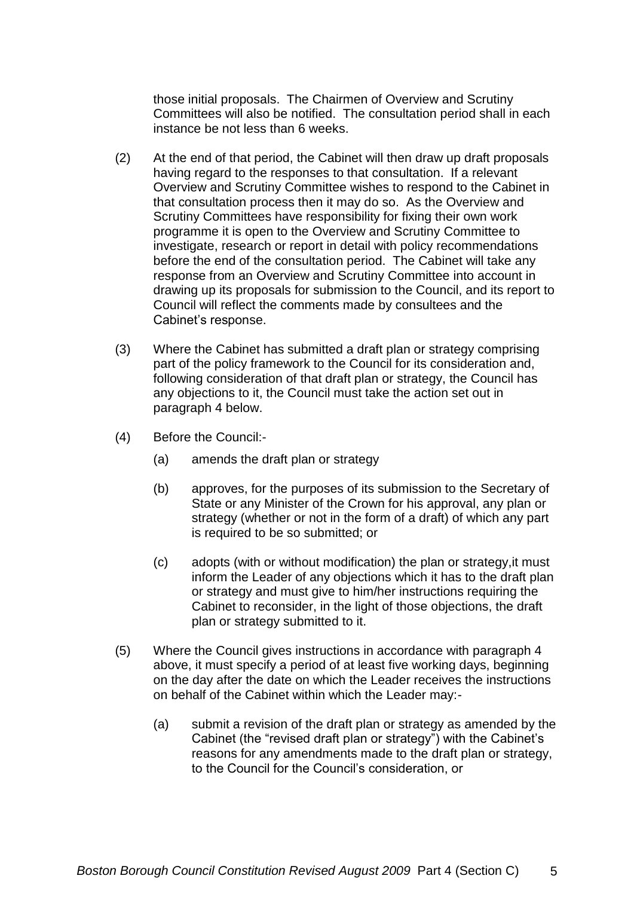those initial proposals. The Chairmen of Overview and Scrutiny Committees will also be notified. The consultation period shall in each instance be not less than 6 weeks.

- (2) At the end of that period, the Cabinet will then draw up draft proposals having regard to the responses to that consultation. If a relevant Overview and Scrutiny Committee wishes to respond to the Cabinet in that consultation process then it may do so. As the Overview and Scrutiny Committees have responsibility for fixing their own work programme it is open to the Overview and Scrutiny Committee to investigate, research or report in detail with policy recommendations before the end of the consultation period. The Cabinet will take any response from an Overview and Scrutiny Committee into account in drawing up its proposals for submission to the Council, and its report to Council will reflect the comments made by consultees and the Cabinet's response.
- (3) Where the Cabinet has submitted a draft plan or strategy comprising part of the policy framework to the Council for its consideration and, following consideration of that draft plan or strategy, the Council has any objections to it, the Council must take the action set out in paragraph 4 below.
- (4) Before the Council:-
	- (a) amends the draft plan or strategy
	- (b) approves, for the purposes of its submission to the Secretary of State or any Minister of the Crown for his approval, any plan or strategy (whether or not in the form of a draft) of which any part is required to be so submitted; or
	- (c) adopts (with or without modification) the plan or strategy,it must inform the Leader of any objections which it has to the draft plan or strategy and must give to him/her instructions requiring the Cabinet to reconsider, in the light of those objections, the draft plan or strategy submitted to it.
- (5) Where the Council gives instructions in accordance with paragraph 4 above, it must specify a period of at least five working days, beginning on the day after the date on which the Leader receives the instructions on behalf of the Cabinet within which the Leader may:-
	- (a) submit a revision of the draft plan or strategy as amended by the Cabinet (the "revised draft plan or strategy") with the Cabinet's reasons for any amendments made to the draft plan or strategy, to the Council for the Council's consideration, or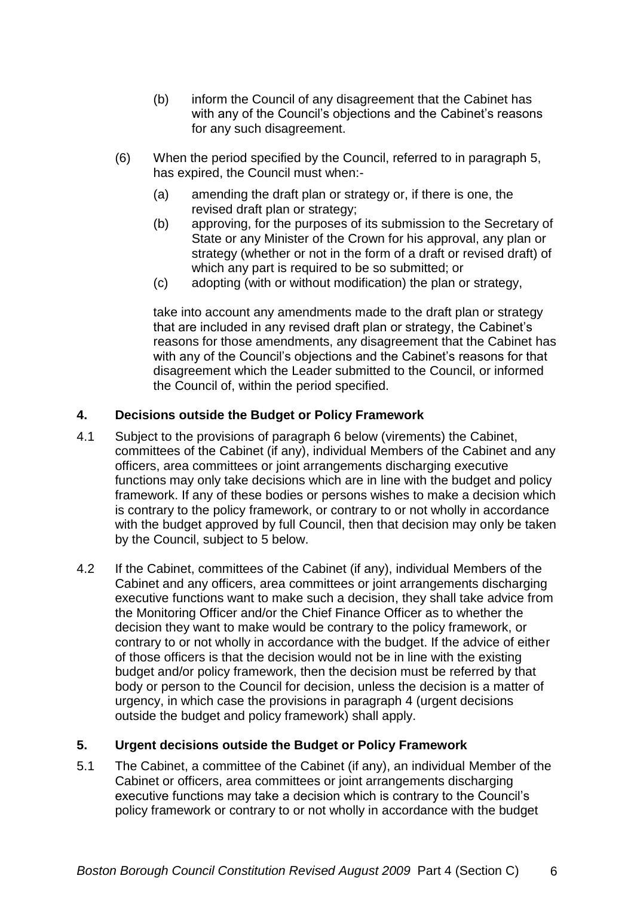- (b) inform the Council of any disagreement that the Cabinet has with any of the Council's objections and the Cabinet's reasons for any such disagreement.
- (6) When the period specified by the Council, referred to in paragraph 5, has expired, the Council must when:-
	- (a) amending the draft plan or strategy or, if there is one, the revised draft plan or strategy;
	- (b) approving, for the purposes of its submission to the Secretary of State or any Minister of the Crown for his approval, any plan or strategy (whether or not in the form of a draft or revised draft) of which any part is required to be so submitted; or
	- (c) adopting (with or without modification) the plan or strategy,

take into account any amendments made to the draft plan or strategy that are included in any revised draft plan or strategy, the Cabinet's reasons for those amendments, any disagreement that the Cabinet has with any of the Council's objections and the Cabinet's reasons for that disagreement which the Leader submitted to the Council, or informed the Council of, within the period specified.

#### **4. Decisions outside the Budget or Policy Framework**

- 4.1 Subject to the provisions of paragraph 6 below (virements) the Cabinet, committees of the Cabinet (if any), individual Members of the Cabinet and any officers, area committees or joint arrangements discharging executive functions may only take decisions which are in line with the budget and policy framework. If any of these bodies or persons wishes to make a decision which is contrary to the policy framework, or contrary to or not wholly in accordance with the budget approved by full Council, then that decision may only be taken by the Council, subject to 5 below.
- 4.2 If the Cabinet, committees of the Cabinet (if any), individual Members of the Cabinet and any officers, area committees or joint arrangements discharging executive functions want to make such a decision, they shall take advice from the Monitoring Officer and/or the Chief Finance Officer as to whether the decision they want to make would be contrary to the policy framework, or contrary to or not wholly in accordance with the budget. If the advice of either of those officers is that the decision would not be in line with the existing budget and/or policy framework, then the decision must be referred by that body or person to the Council for decision, unless the decision is a matter of urgency, in which case the provisions in paragraph 4 (urgent decisions outside the budget and policy framework) shall apply.

#### **5. Urgent decisions outside the Budget or Policy Framework**

5.1 The Cabinet, a committee of the Cabinet (if any), an individual Member of the Cabinet or officers, area committees or joint arrangements discharging executive functions may take a decision which is contrary to the Council's policy framework or contrary to or not wholly in accordance with the budget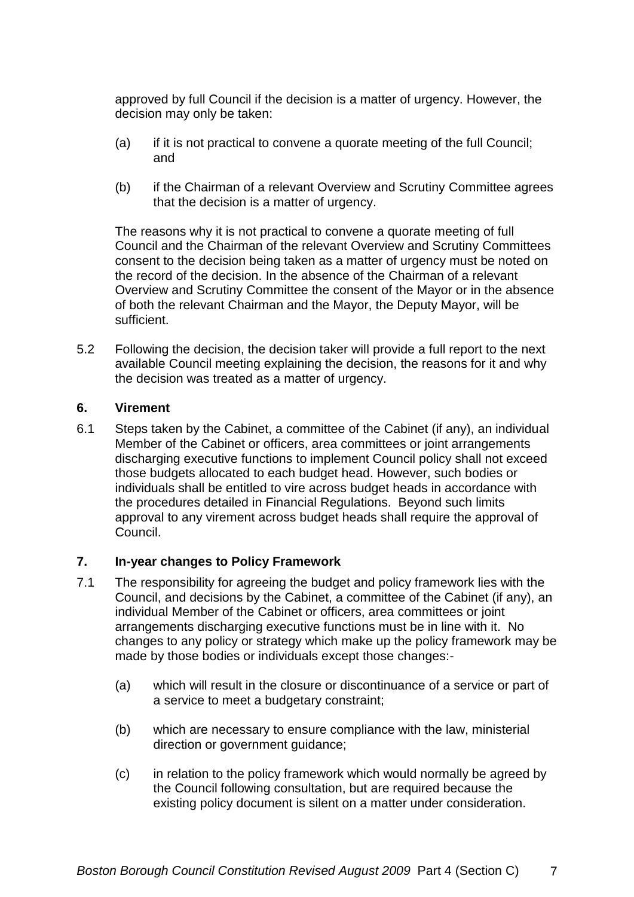approved by full Council if the decision is a matter of urgency. However, the decision may only be taken:

- (a) if it is not practical to convene a quorate meeting of the full Council; and
- (b) if the Chairman of a relevant Overview and Scrutiny Committee agrees that the decision is a matter of urgency.

The reasons why it is not practical to convene a quorate meeting of full Council and the Chairman of the relevant Overview and Scrutiny Committees consent to the decision being taken as a matter of urgency must be noted on the record of the decision. In the absence of the Chairman of a relevant Overview and Scrutiny Committee the consent of the Mayor or in the absence of both the relevant Chairman and the Mayor, the Deputy Mayor, will be sufficient.

5.2 Following the decision, the decision taker will provide a full report to the next available Council meeting explaining the decision, the reasons for it and why the decision was treated as a matter of urgency.

#### **6. Virement**

6.1 Steps taken by the Cabinet, a committee of the Cabinet (if any), an individual Member of the Cabinet or officers, area committees or joint arrangements discharging executive functions to implement Council policy shall not exceed those budgets allocated to each budget head. However, such bodies or individuals shall be entitled to vire across budget heads in accordance with the procedures detailed in Financial Regulations. Beyond such limits approval to any virement across budget heads shall require the approval of Council.

#### **7. In-year changes to Policy Framework**

- 7.1 The responsibility for agreeing the budget and policy framework lies with the Council, and decisions by the Cabinet, a committee of the Cabinet (if any), an individual Member of the Cabinet or officers, area committees or joint arrangements discharging executive functions must be in line with it. No changes to any policy or strategy which make up the policy framework may be made by those bodies or individuals except those changes:-
	- (a) which will result in the closure or discontinuance of a service or part of a service to meet a budgetary constraint;
	- (b) which are necessary to ensure compliance with the law, ministerial direction or government guidance;
	- (c) in relation to the policy framework which would normally be agreed by the Council following consultation, but are required because the existing policy document is silent on a matter under consideration.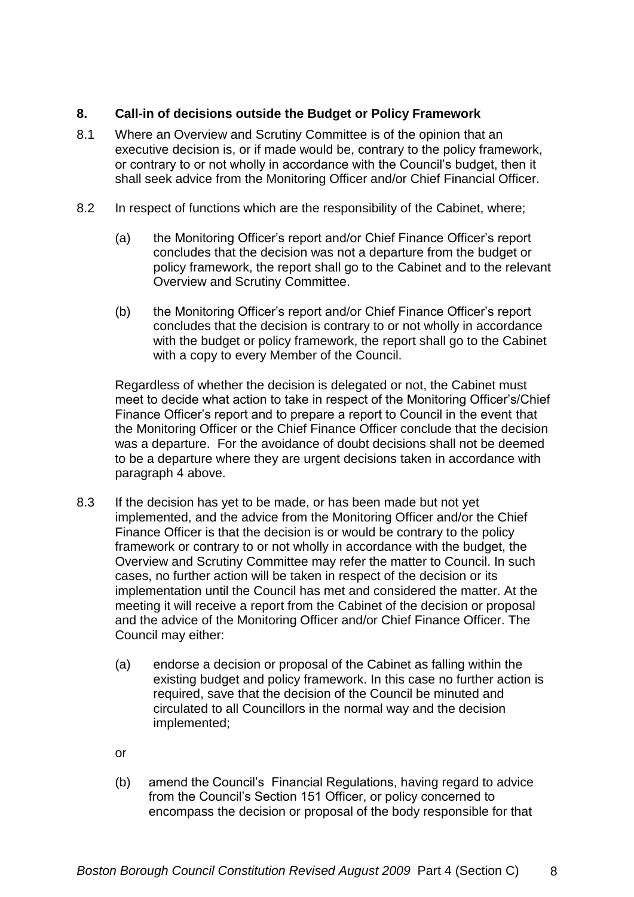#### **8. Call-in of decisions outside the Budget or Policy Framework**

- 8.1 Where an Overview and Scrutiny Committee is of the opinion that an executive decision is, or if made would be, contrary to the policy framework, or contrary to or not wholly in accordance with the Council's budget, then it shall seek advice from the Monitoring Officer and/or Chief Financial Officer.
- 8.2 In respect of functions which are the responsibility of the Cabinet, where;
	- (a) the Monitoring Officer's report and/or Chief Finance Officer's report concludes that the decision was not a departure from the budget or policy framework, the report shall go to the Cabinet and to the relevant Overview and Scrutiny Committee.
	- (b) the Monitoring Officer's report and/or Chief Finance Officer's report concludes that the decision is contrary to or not wholly in accordance with the budget or policy framework, the report shall go to the Cabinet with a copy to every Member of the Council.

Regardless of whether the decision is delegated or not, the Cabinet must meet to decide what action to take in respect of the Monitoring Officer's/Chief Finance Officer's report and to prepare a report to Council in the event that the Monitoring Officer or the Chief Finance Officer conclude that the decision was a departure. For the avoidance of doubt decisions shall not be deemed to be a departure where they are urgent decisions taken in accordance with paragraph 4 above.

- 8.3 If the decision has yet to be made, or has been made but not yet implemented, and the advice from the Monitoring Officer and/or the Chief Finance Officer is that the decision is or would be contrary to the policy framework or contrary to or not wholly in accordance with the budget, the Overview and Scrutiny Committee may refer the matter to Council. In such cases, no further action will be taken in respect of the decision or its implementation until the Council has met and considered the matter. At the meeting it will receive a report from the Cabinet of the decision or proposal and the advice of the Monitoring Officer and/or Chief Finance Officer. The Council may either:
	- (a) endorse a decision or proposal of the Cabinet as falling within the existing budget and policy framework. In this case no further action is required, save that the decision of the Council be minuted and circulated to all Councillors in the normal way and the decision implemented;
	- or
	- (b) amend the Council's Financial Regulations, having regard to advice from the Council's Section 151 Officer, or policy concerned to encompass the decision or proposal of the body responsible for that